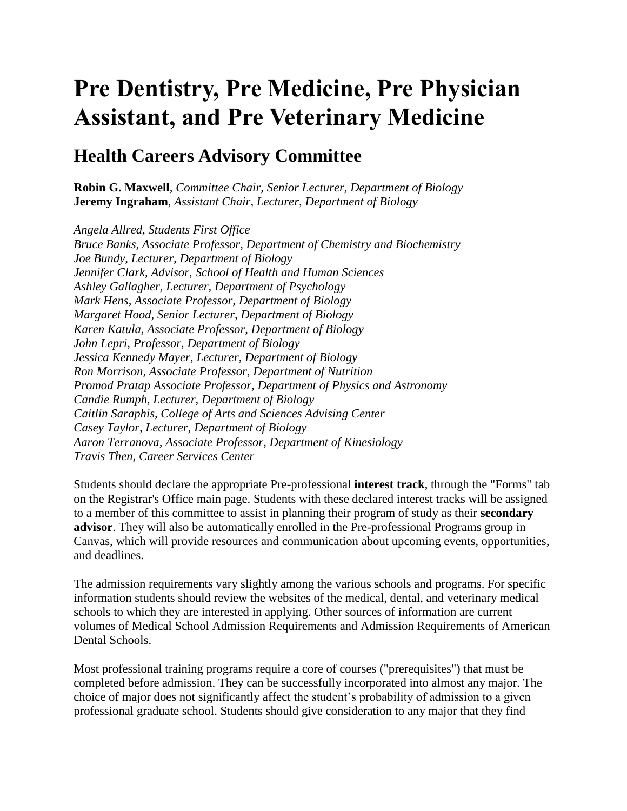# **Pre Dentistry, Pre Medicine, Pre Physician Assistant, and Pre Veterinary Medicine**

### **Health Careers Advisory Committee**

**Robin G. Maxwell***, Committee Chair, Senior Lecturer, Department of Biology* **Jeremy Ingraham***, Assistant Chair, Lecturer, Department of Biology*

*Angela Allred, Students First Office Bruce Banks, Associate Professor, Department of Chemistry and Biochemistry Joe Bundy, Lecturer, Department of Biology Jennifer Clark, Advisor, School of Health and Human Sciences Ashley Gallagher, Lecturer, Department of Psychology Mark Hens, Associate Professor, Department of Biology Margaret Hood, Senior Lecturer, Department of Biology Karen Katula, Associate Professor, Department of Biology John Lepri, Professor, Department of Biology Jessica Kennedy Mayer, Lecturer, Department of Biology Ron Morrison, Associate Professor, Department of Nutrition Promod Pratap Associate Professor, Department of Physics and Astronomy Candie Rumph, Lecturer, Department of Biology Caitlin Saraphis, College of Arts and Sciences Advising Center Casey Taylor, Lecturer, Department of Biology Aaron Terranova, Associate Professor, Department of Kinesiology Travis Then, Career Services Center*

Students should declare the appropriate Pre-professional **interest track**, through the "Forms" tab on the Registrar's Office main page. Students with these declared interest tracks will be assigned to a member of this committee to assist in planning their program of study as their **secondary advisor**. They will also be automatically enrolled in the Pre-professional Programs group in Canvas, which will provide resources and communication about upcoming events, opportunities, and deadlines.

The admission requirements vary slightly among the various schools and programs. For specific information students should review the websites of the medical, dental, and veterinary medical schools to which they are interested in applying. Other sources of information are current volumes of Medical School Admission Requirements and Admission Requirements of American Dental Schools.

Most professional training programs require a core of courses ("prerequisites") that must be completed before admission. They can be successfully incorporated into almost any major. The choice of major does not significantly affect the student's probability of admission to a given professional graduate school. Students should give consideration to any major that they find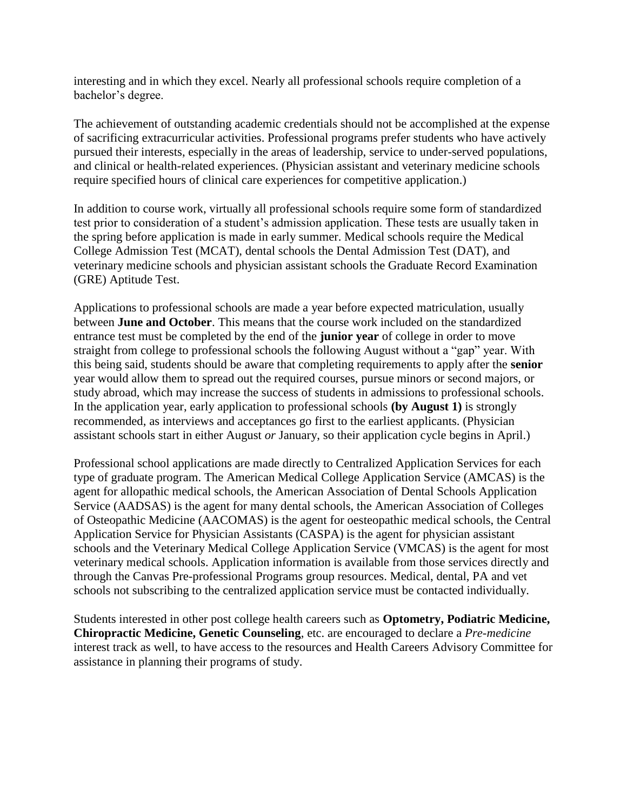interesting and in which they excel. Nearly all professional schools require completion of a bachelor's degree.

The achievement of outstanding academic credentials should not be accomplished at the expense of sacrificing extracurricular activities. Professional programs prefer students who have actively pursued their interests, especially in the areas of leadership, service to under-served populations, and clinical or health-related experiences. (Physician assistant and veterinary medicine schools require specified hours of clinical care experiences for competitive application.)

In addition to course work, virtually all professional schools require some form of standardized test prior to consideration of a student's admission application. These tests are usually taken in the spring before application is made in early summer. Medical schools require the Medical College Admission Test (MCAT), dental schools the Dental Admission Test (DAT), and veterinary medicine schools and physician assistant schools the Graduate Record Examination (GRE) Aptitude Test.

Applications to professional schools are made a year before expected matriculation, usually between **June and October**. This means that the course work included on the standardized entrance test must be completed by the end of the **junior year** of college in order to move straight from college to professional schools the following August without a "gap" year. With this being said, students should be aware that completing requirements to apply after the **senior** year would allow them to spread out the required courses, pursue minors or second majors, or study abroad, which may increase the success of students in admissions to professional schools. In the application year, early application to professional schools **(by August 1)** is strongly recommended, as interviews and acceptances go first to the earliest applicants. (Physician assistant schools start in either August *or* January, so their application cycle begins in April.)

Professional school applications are made directly to Centralized Application Services for each type of graduate program. The American Medical College Application Service (AMCAS) is the agent for allopathic medical schools, the American Association of Dental Schools Application Service (AADSAS) is the agent for many dental schools, the American Association of Colleges of Osteopathic Medicine (AACOMAS) is the agent for oesteopathic medical schools, the Central Application Service for Physician Assistants (CASPA) is the agent for physician assistant schools and the Veterinary Medical College Application Service (VMCAS) is the agent for most veterinary medical schools. Application information is available from those services directly and through the Canvas Pre-professional Programs group resources. Medical, dental, PA and vet schools not subscribing to the centralized application service must be contacted individually.

Students interested in other post college health careers such as **Optometry, Podiatric Medicine, Chiropractic Medicine, Genetic Counseling**, etc. are encouraged to declare a *Pre-medicine* interest track as well, to have access to the resources and Health Careers Advisory Committee for assistance in planning their programs of study.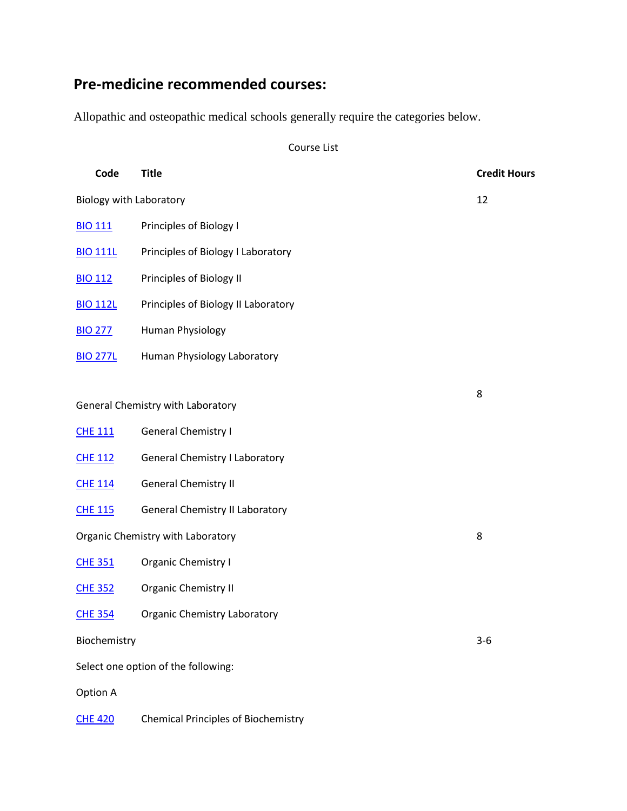## **Pre-medicine recommended courses:**

Allopathic and osteopathic medical schools generally require the categories below.

Course List

| Code                                | <b>Title</b>                           | <b>Credit Hours</b> |
|-------------------------------------|----------------------------------------|---------------------|
| <b>Biology with Laboratory</b>      |                                        | 12                  |
| <b>BIO 111</b>                      | Principles of Biology I                |                     |
| <b>BIO 111L</b>                     | Principles of Biology I Laboratory     |                     |
| <b>BIO 112</b>                      | Principles of Biology II               |                     |
| <b>BIO 112L</b>                     | Principles of Biology II Laboratory    |                     |
| <b>BIO 277</b>                      | Human Physiology                       |                     |
| <b>BIO 277L</b>                     | Human Physiology Laboratory            |                     |
|                                     |                                        | 8                   |
| General Chemistry with Laboratory   |                                        |                     |
| <b>CHE 111</b>                      | <b>General Chemistry I</b>             |                     |
| <b>CHE 112</b>                      | <b>General Chemistry I Laboratory</b>  |                     |
| <b>CHE 114</b>                      | <b>General Chemistry II</b>            |                     |
| <b>CHE 115</b>                      | <b>General Chemistry II Laboratory</b> |                     |
|                                     | Organic Chemistry with Laboratory      | 8                   |
| <b>CHE 351</b>                      | Organic Chemistry I                    |                     |
| <b>CHE 352</b>                      | Organic Chemistry II                   |                     |
| <b>CHE 354</b>                      | <b>Organic Chemistry Laboratory</b>    |                     |
| Biochemistry                        |                                        | $3 - 6$             |
| Select one option of the following: |                                        |                     |
| Option A                            |                                        |                     |
|                                     |                                        |                     |

[CHE](https://catalog.uncg.edu/search/?P=CHE%20420) 420 Chemical Principles of Biochemistry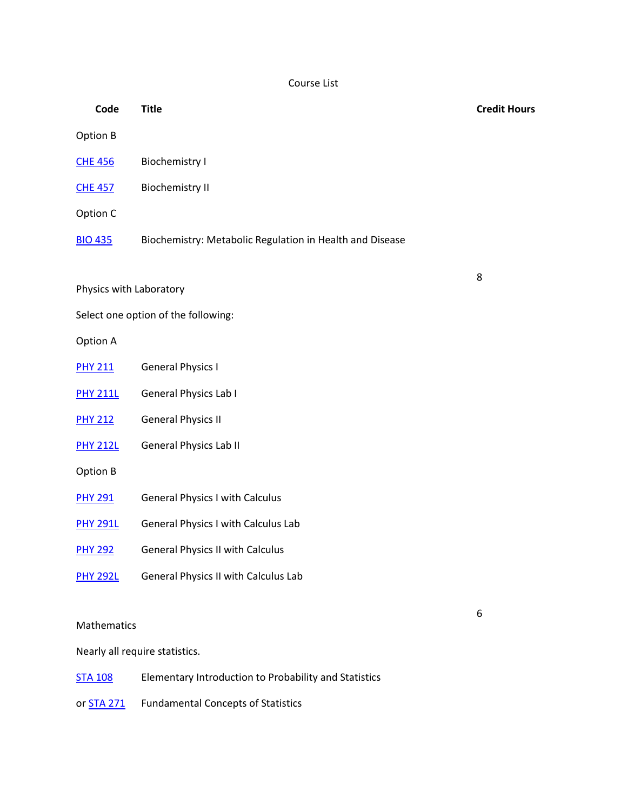Course List

| Code                    | <b>Title</b>                                             | <b>Credit Hours</b> |
|-------------------------|----------------------------------------------------------|---------------------|
| Option B                |                                                          |                     |
| <b>CHE 456</b>          | <b>Biochemistry I</b>                                    |                     |
| <b>CHE 457</b>          | <b>Biochemistry II</b>                                   |                     |
| Option C                |                                                          |                     |
| <b>BIO 435</b>          | Biochemistry: Metabolic Regulation in Health and Disease |                     |
|                         |                                                          | 8                   |
| Physics with Laboratory |                                                          |                     |
|                         | Select one option of the following:                      |                     |
| Option A                |                                                          |                     |
| <b>PHY 211</b>          | <b>General Physics I</b>                                 |                     |
| <b>PHY 211L</b>         | General Physics Lab I                                    |                     |
| <b>PHY 212</b>          | <b>General Physics II</b>                                |                     |
| <b>PHY 212L</b>         | <b>General Physics Lab II</b>                            |                     |
| Option B                |                                                          |                     |
| <b>PHY 291</b>          | <b>General Physics I with Calculus</b>                   |                     |
| <b>PHY 291L</b>         | <b>General Physics I with Calculus Lab</b>               |                     |
| <b>PHY 292</b>          | <b>General Physics II with Calculus</b>                  |                     |
| <b>PHY 292L</b>         | General Physics II with Calculus Lab                     |                     |
|                         |                                                          | 6                   |
|                         |                                                          |                     |

Mathematics

Nearly all require statistics.

| <b>STA 108</b> | Elementary Introduction to Probability and Statistics |
|----------------|-------------------------------------------------------|
|----------------|-------------------------------------------------------|

or **[STA](https://catalog.uncg.edu/search/?P=STA%20271) 271** Fundamental Concepts of Statistics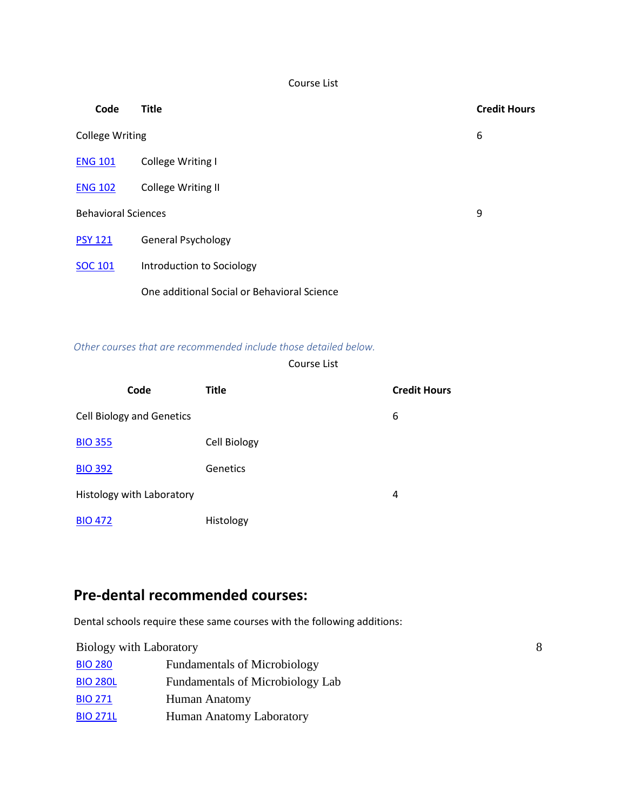Course List

| Code                       | <b>Title</b>                                | <b>Credit Hours</b> |
|----------------------------|---------------------------------------------|---------------------|
| <b>College Writing</b>     |                                             | 6                   |
| <b>ENG 101</b>             | College Writing I                           |                     |
| <b>ENG 102</b>             | <b>College Writing II</b>                   |                     |
| <b>Behavioral Sciences</b> |                                             | 9                   |
| <b>PSY 121</b>             | <b>General Psychology</b>                   |                     |
| <b>SOC 101</b>             | Introduction to Sociology                   |                     |
|                            | One additional Social or Behavioral Science |                     |

#### *Other courses that are recommended include those detailed below.*

#### Course List

| Code                             | <b>Title</b> | <b>Credit Hours</b> |
|----------------------------------|--------------|---------------------|
| <b>Cell Biology and Genetics</b> |              | 6                   |
| <b>BIO 355</b>                   | Cell Biology |                     |
| <b>BIO 392</b>                   | Genetics     |                     |
| Histology with Laboratory        |              | 4                   |
| <b>BIO 472</b>                   | Histology    |                     |

# **Pre-dental recommended courses:**

Dental schools require these same courses with the following additions:

| <b>Biology with Laboratory</b> |                                     |  |
|--------------------------------|-------------------------------------|--|
| <b>BIO 280</b>                 | <b>Fundamentals of Microbiology</b> |  |
| <b>BIO 280L</b>                | Fundamentals of Microbiology Lab    |  |
| <b>BIO 271</b>                 | Human Anatomy                       |  |
| <b>BIO 271L</b>                | Human Anatomy Laboratory            |  |
|                                |                                     |  |